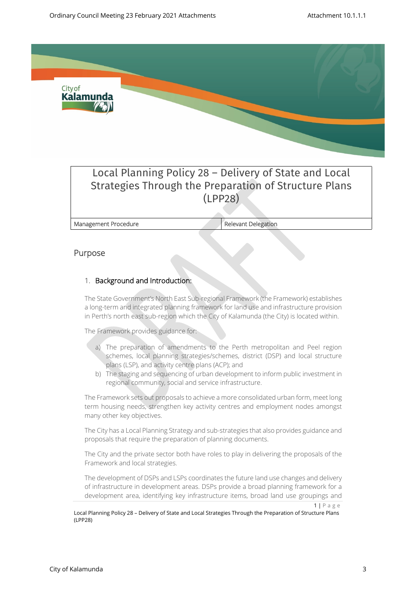

# Local Planning Policy 28 – Delivery of State and Local Strategies Through the Preparation of Structure Plans (LPP28)

**Management Procedure Relevant Delegation** 

## **Purpose**

## 1. **Background and Introduction:**

The State Government's North East Sub-regional Framework (the Framework) establishes a long-term and integrated planning framework for land use and infrastructure provision in Perth's north east sub-region which the City of Kalamunda (the City) is located within.

The Framework provides guidance for:

- a) The preparation of amendments to the Perth metropolitan and Peel region schemes, local planning strategies/schemes, district (DSP) and local structure plans (LSP), and activity centre plans (ACP); and
- b) The staging and sequencing of urban development to inform public investment in regional community, social and service infrastructure.

The Framework sets out proposals to achieve a more consolidated urban form, meet long term housing needs, strengthen key activity centres and employment nodes amongst many other key objectives.

The City has a Local Planning Strategy and sub-strategies that also provides guidance and proposals that require the preparation of planning documents.

The City and the private sector both have roles to play in delivering the proposals of the Framework and local strategies.

The development of DSPs and LSPs coordinates the future land use changes and delivery of infrastructure in development areas. DSPs provide a broad planning framework for a development area, identifying key infrastructure items, broad land use groupings and

 $1 | P a g e$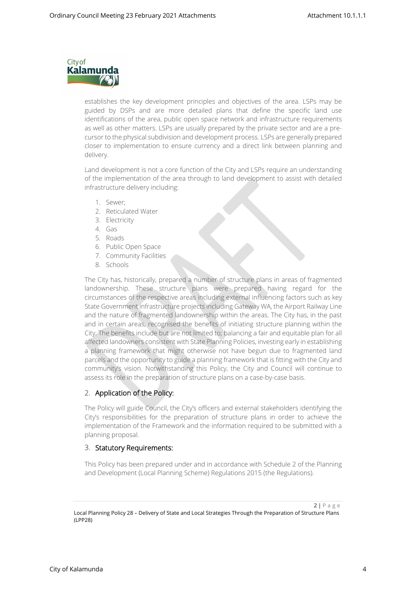

establishes the key development principles and objectives of the area. LSPs may be guided by DSPs and are more detailed plans that define the specific land use identifications of the area, public open space network and infrastructure requirements as well as other matters. LSPs are usually prepared by the private sector and are a precursor to the physical subdivision and development process. LSPs are generally prepared closer to implementation to ensure currency and a direct link between planning and delivery.

Land development is not a core function of the City and LSPs require an understanding of the implementation of the area through to land development to assist with detailed infrastructure delivery including:

- 1. Sewer;
- 2. Reticulated Water
- 3. Electricity
- 4. Gas
- 5. Roads
- 6. Public Open Space
- 7. Community Facilities
- 8. Schools

The City has, historically, prepared a number of structure plans in areas of fragmented landownership. These structure plans were prepared having regard for the circumstances of the respective areas including external influencing factors such as key State Government infrastructure projects including Gateway WA, the Airport Railway Line and the nature of fragmented landownership within the areas. The City has, in the past and in certain areas, recognised the benefits of initiating structure planning within the City. The benefits include but are not limited to; balancing a fair and equitable plan for all affected landowners consistent with State Planning Policies, investing early in establishing a planning framework that might otherwise not have begun due to fragmented land parcels and the opportunity to guide a planning framework that is fitting with the City and community's vision. Notwithstanding this Policy, the City and Council will continue to assess its role in the preparation of structure plans on a case-by-case basis.

#### 2. **Application of the Policy:**

The Policy will guide Council, the City's officers and external stakeholders identifying the City's responsibilities for the preparation of structure plans in order to achieve the implementation of the Framework and the information required to be submitted with a planning proposal.

#### 3. **Statutory Requirements:**

This Policy has been prepared under and in accordance with Schedule 2 of the Planning and Development (Local Planning Scheme) Regulations 2015 (the Regulations).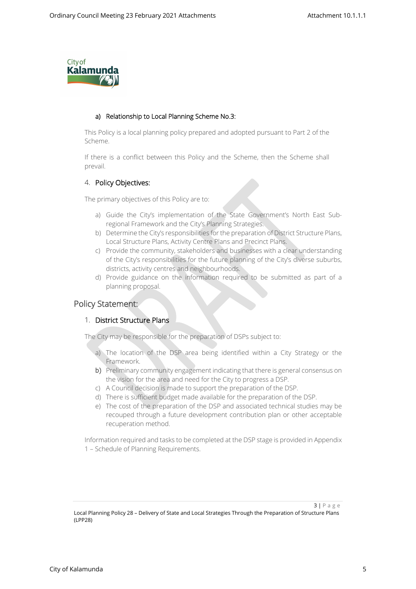

#### **a) Relationship to Local Planning Scheme No.3:**

This Policy is a local planning policy prepared and adopted pursuant to Part 2 of the Scheme.

If there is a conflict between this Policy and the Scheme, then the Scheme shall prevail.

## 4. **Policy Objectives:**

The primary objectives of this Policy are to:

- a) Guide the City's implementation of the State Government's North East Subregional Framework and the City's Planning Strategies.
- b) Determine the City's responsibilities for the preparation of District Structure Plans, Local Structure Plans, Activity Centre Plans and Precinct Plans.
- c) Provide the community, stakeholders and businesses with a clear understanding of the City's responsibilities for the future planning of the City's diverse suburbs, districts, activity centres and neighbourhoods.
- d) Provide guidance on the information required to be submitted as part of a planning proposal.

## **Policy Statement:**

#### 1. **District Structure Plans**

The City may be responsible for the preparation of DSPs subject to:

- a) The location of the DSP area being identified within a City Strategy or the Framework.
- b) Preliminary community engagement indicating that there is general consensus on the vision for the area and need for the City to progress a DSP.
- c) A Council decision is made to support the preparation of the DSP.
- d) There is sufficient budget made available for the preparation of the DSP.
- e) The cost of the preparation of the DSP and associated technical studies may be recouped through a future development contribution plan or other acceptable recuperation method.

Information required and tasks to be completed at the DSP stage is provided in Appendix 1 – Schedule of Planning Requirements.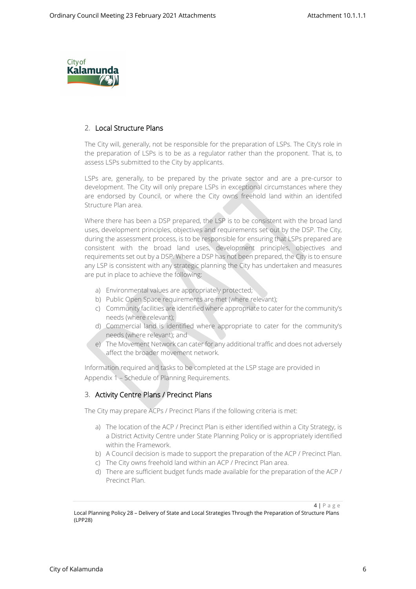

## 2. **Local Structure Plans**

The City will, generally, not be responsible for the preparation of LSPs. The City's role in the preparation of LSPs is to be as a regulator rather than the proponent. That is, to assess LSPs submitted to the City by applicants.

LSPs are, generally, to be prepared by the private sector and are a pre-cursor to development. The City will only prepare LSPs in exceptional circumstances where they are endorsed by Council, or where the City owns freehold land within an identifed Structure Plan area.

Where there has been a DSP prepared, the LSP is to be consistent with the broad land uses, development principles, objectives and requirements set out by the DSP. The City, during the assessment process, is to be responsible for ensuring that LSPs prepared are consistent with the broad land uses, development principles, objectives and requirements set out by a DSP. Where a DSP has not been prepared, the City is to ensure any LSP is consistent with any strategic planning the City has undertaken and measures are put in place to achieve the following:

- a) Environmental values are appropriately protected;
- b) Public Open Space requirements are met (where relevant);
- c) Community facilities are identified where appropriate to cater for the community's needs (where relevant);
- d) Commercial land is identified where appropriate to cater for the community's needs (where relevant); and
- e) The Movement Network can cater for any additional traffic and does not adversely affect the broader movement network.

Information required and tasks to be completed at the LSP stage are provided in Appendix 1 – Schedule of Planning Requirements.

#### 3. **Activity Centre Plans / Precinct Plans**

The City may prepare ACPs / Precinct Plans if the following criteria is met:

- a) The location of the ACP / Precinct Plan is either identified within a City Strategy, is a District Activity Centre under State Planning Policy or is appropriately identified within the Framework.
- b) A Council decision is made to support the preparation of the ACP / Precinct Plan.
- c) The City owns freehold land within an ACP / Precinct Plan area.
- d) There are sufficient budget funds made available for the preparation of the ACP / Precinct Plan.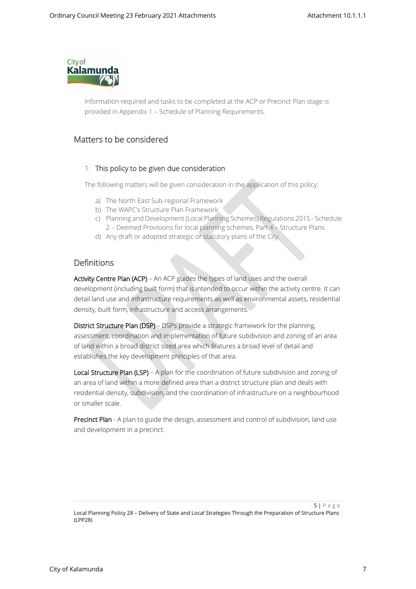

Information required and tasks to be completed at the ACP or Precinct Plan stage is provided in Appendix 1 – Schedule of Planning Requirements.

# **Matters to be considered**

#### 1. **This policy to be given due consideration**

The following matters will be given consideration in the application of this policy:

- a) The North East Sub-regional Framework
- b) The WAPC's Structure Plan Framework
- c) Planning and Development (Local Planning Schemes) Regulations 2015 Schedule 2 – Deemed Provisions for local planning schemes, Part 4 – Structure Plans
- d) Any draft or adopted strategic or statutory plans of the City.

# **Definitions**

**Activity Centre Plan (ACP)** – An ACP guides the types of land uses and the overall development (including built form) that is intended to occur within the activity centre. It can detail land use and infrastructure requirements as well as environmental assets, residential density, built form, infrastructure and access arrangements.

**District Structure Plan (DSP)** – DSPs provide a strategic framework for the planning, assessment, coordination and implementation of future subdivision and zoning of an area of land within a broad district sized area which features a broad level of detail and establishes the key development principles of that area.

**Local Structure Plan (LSP)** – A plan for the coordination of future subdivision and zoning of an area of land within a more defined area than a district structure plan and deals with residential density, subdivision, and the coordination of infrastructure on a neighbourhood or smaller scale.

**Precinct Plan** - A plan to guide the design, assessment and control of subdivision, land use and development in a precinct.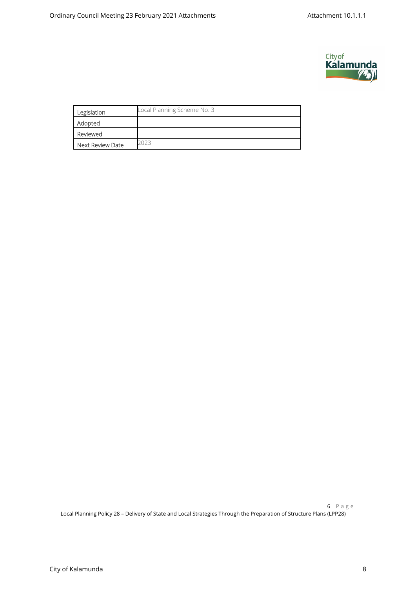

| Legislation      | Local Planning Scheme No. 3 |
|------------------|-----------------------------|
| Adopted          |                             |
| Reviewed         |                             |
| Next Review Date |                             |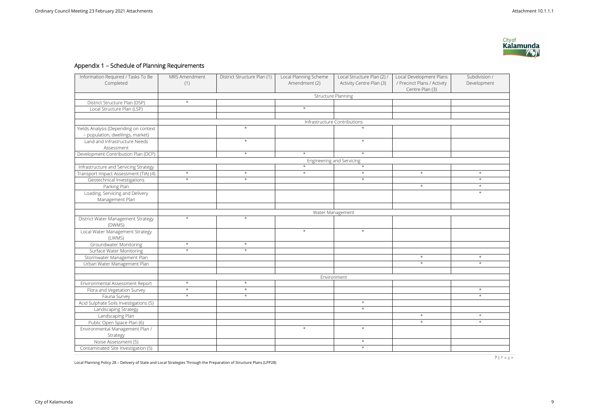7 | P a g e

Local Planning Policy 28 – Delivery of State and Local Strategies Through the Preparation of Structure Plans (LPP28)

# **Appendix 1 – Schedule of Planning Requirements**

| Information Required / Tasks To Be<br>Completed | MRS Amendment<br>(1)         | District Structure Plan (1) | Local Planning Scheme<br>Amendment (2) | Local Structure Plan (2) /<br>Activity Centre Plan (3) | Local Development Plans<br>/ Precinct Plans / Activity<br>Centre Plan (3) | Subdivision /<br>Development |  |  |  |  |
|-------------------------------------------------|------------------------------|-----------------------------|----------------------------------------|--------------------------------------------------------|---------------------------------------------------------------------------|------------------------------|--|--|--|--|
|                                                 | <b>Structure Planning</b>    |                             |                                        |                                                        |                                                                           |                              |  |  |  |  |
| District Structure Plan (DSP)                   | $\star$                      |                             |                                        |                                                        |                                                                           |                              |  |  |  |  |
| Local Structure Plan (LSP)                      |                              |                             | $\star$                                |                                                        |                                                                           |                              |  |  |  |  |
|                                                 |                              |                             |                                        |                                                        |                                                                           |                              |  |  |  |  |
|                                                 | Infrastructure Contributions |                             |                                        |                                                        |                                                                           |                              |  |  |  |  |
| Yields Analysis (Depending on context           |                              | $\star$                     |                                        | $\star$                                                |                                                                           |                              |  |  |  |  |
| - population, dwellings, market)                |                              |                             |                                        |                                                        |                                                                           |                              |  |  |  |  |
| Land and Infrastructure Needs                   |                              | $\star$                     |                                        | $\star$                                                |                                                                           |                              |  |  |  |  |
| Assessment                                      |                              |                             |                                        |                                                        |                                                                           |                              |  |  |  |  |
| Development Contribution Plan (DCP)             |                              | $\star$                     | $\star$                                | $\star$                                                |                                                                           |                              |  |  |  |  |
|                                                 | Engineering and Servicing    |                             |                                        |                                                        |                                                                           |                              |  |  |  |  |
| Infrastructure and Servicing Strategy           |                              |                             | $\star$                                | $\star$                                                |                                                                           |                              |  |  |  |  |
| Transport Impact Assessment (TIA) (4)           | $\star$                      | $\star$                     | $\star$                                | $\star$                                                | $\star$                                                                   | $\star$                      |  |  |  |  |
| Geotechnical Investigations                     | $\star$                      | $\star$                     |                                        | $\star$                                                |                                                                           | $\star$                      |  |  |  |  |
| Parking Plan                                    |                              |                             |                                        |                                                        | $\star$                                                                   | $\star$                      |  |  |  |  |
| Loading, Servicing and Delivery                 |                              |                             |                                        |                                                        |                                                                           | $\star$                      |  |  |  |  |
| Management Plan                                 |                              |                             |                                        |                                                        |                                                                           |                              |  |  |  |  |
|                                                 |                              |                             |                                        |                                                        |                                                                           |                              |  |  |  |  |
|                                                 | Water Management             |                             |                                        |                                                        |                                                                           |                              |  |  |  |  |
| District Water Management Strategy<br>(DWMS)    | $\star$                      | $\star$                     |                                        |                                                        |                                                                           |                              |  |  |  |  |
| Local Water Management Strategy<br>(LWMS)       |                              |                             | $\star$                                | $\star$                                                |                                                                           |                              |  |  |  |  |
| Groundwater Monitoring                          | $\star$                      | $\star$                     |                                        |                                                        |                                                                           |                              |  |  |  |  |
| Surface Water Monitoring                        | $\star$                      | $\star$                     |                                        |                                                        |                                                                           |                              |  |  |  |  |
| Stormwater Management Plan                      |                              |                             |                                        |                                                        | $\star$                                                                   | $\star$                      |  |  |  |  |
| Urban Water Management Plan                     |                              |                             |                                        |                                                        | $\star$                                                                   | $\star$                      |  |  |  |  |
|                                                 |                              |                             |                                        |                                                        |                                                                           |                              |  |  |  |  |
|                                                 | Environment                  |                             |                                        |                                                        |                                                                           |                              |  |  |  |  |
| Environmental Assessment Report                 | $\star$                      | $\star$                     |                                        |                                                        |                                                                           |                              |  |  |  |  |
| Flora and Vegetation Survey                     | $\star$                      | $\star$                     |                                        |                                                        |                                                                           | $\star$                      |  |  |  |  |
| Fauna Survey                                    | $\star$                      | $\star$                     |                                        |                                                        |                                                                           | $\star$                      |  |  |  |  |
| Acid Sulphate Soils Investigations (5)          |                              |                             |                                        | $\star$                                                |                                                                           |                              |  |  |  |  |
| Landscaping Strategy                            |                              |                             |                                        | $\star$                                                |                                                                           |                              |  |  |  |  |
| Landscaping Plan                                |                              |                             |                                        |                                                        | $\star$                                                                   | $\star$                      |  |  |  |  |
| Public Open Space Plan (6)                      |                              |                             |                                        |                                                        | $\star$                                                                   | $\star$                      |  |  |  |  |
| Environmental Management Plan /                 |                              |                             | $\star$                                | $\star$                                                |                                                                           |                              |  |  |  |  |
| Strategy                                        |                              |                             |                                        |                                                        |                                                                           |                              |  |  |  |  |
| Noise Assessment (5)                            |                              |                             |                                        | $\star$                                                |                                                                           |                              |  |  |  |  |
| Contaminated Site Investigation (5)             |                              |                             |                                        | $\star$                                                |                                                                           |                              |  |  |  |  |